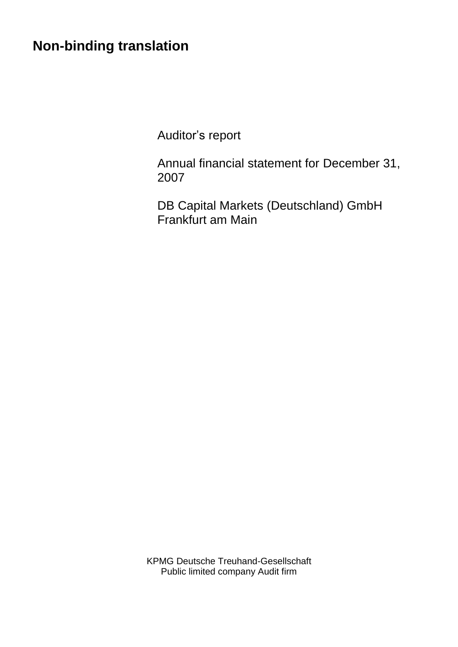# **Non-binding translation**

Auditor's report

Annual financial statement for December 31, 2007

DB Capital Markets (Deutschland) GmbH Frankfurt am Main

KPMG Deutsche Treuhand-Gesellschaft Public limited company Audit firm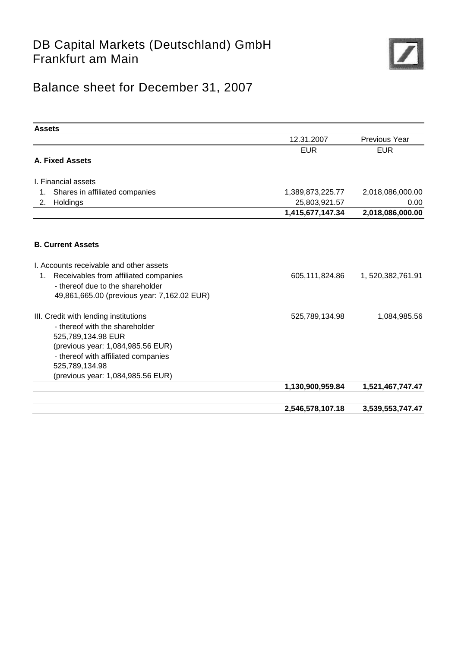### DB Capital Markets (Deutschland) GmbH Frankfurt am Main



## Balance sheet for December 31, 2007

| <b>Assets</b>                                                                                                                                                                                                                    |                  |                      |
|----------------------------------------------------------------------------------------------------------------------------------------------------------------------------------------------------------------------------------|------------------|----------------------|
|                                                                                                                                                                                                                                  | 12.31.2007       | Previous Year        |
|                                                                                                                                                                                                                                  | <b>EUR</b>       | <b>EUR</b>           |
| A. Fixed Assets                                                                                                                                                                                                                  |                  |                      |
| I. Financial assets                                                                                                                                                                                                              |                  |                      |
| Shares in affiliated companies<br>1.                                                                                                                                                                                             | 1,389,873,225.77 | 2,018,086,000.00     |
| Holdings<br>2.                                                                                                                                                                                                                   | 25,803,921.57    | 0.00                 |
|                                                                                                                                                                                                                                  | 1,415,677,147.34 | 2,018,086,000.00     |
| <b>B. Current Assets</b>                                                                                                                                                                                                         |                  |                      |
| I. Accounts receivable and other assets                                                                                                                                                                                          |                  |                      |
| Receivables from affiliated companies<br>1.<br>- thereof due to the shareholder<br>49,861,665.00 (previous year: 7,162.02 EUR)                                                                                                   | 605,111,824.86   | 1, 520, 382, 761. 91 |
| III. Credit with lending institutions<br>- thereof with the shareholder<br>525,789,134.98 EUR<br>(previous year: 1,084,985.56 EUR)<br>- thereof with affiliated companies<br>525,789,134.98<br>(previous year: 1,084,985.56 EUR) | 525,789,134.98   | 1,084,985.56         |
|                                                                                                                                                                                                                                  | 1,130,900,959.84 | 1,521,467,747.47     |
|                                                                                                                                                                                                                                  | 2,546,578,107.18 | 3,539,553,747.47     |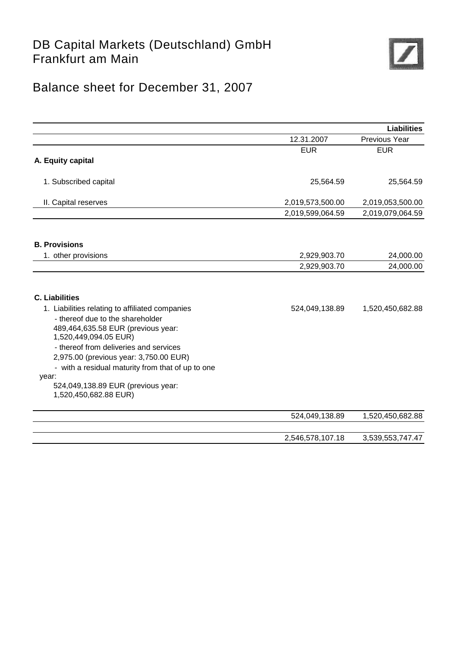### DB Capital Markets (Deutschland) GmbH Frankfurt am Main



## Balance sheet for December 31, 2007

|                                                                                                                                                                                                                                                                                                      |                  | <b>Liabilities</b> |
|------------------------------------------------------------------------------------------------------------------------------------------------------------------------------------------------------------------------------------------------------------------------------------------------------|------------------|--------------------|
|                                                                                                                                                                                                                                                                                                      | 12.31.2007       | Previous Year      |
|                                                                                                                                                                                                                                                                                                      | <b>EUR</b>       | <b>EUR</b>         |
| A. Equity capital                                                                                                                                                                                                                                                                                    |                  |                    |
| 1. Subscribed capital                                                                                                                                                                                                                                                                                | 25,564.59        | 25,564.59          |
| II. Capital reserves                                                                                                                                                                                                                                                                                 | 2,019,573,500.00 | 2,019,053,500.00   |
|                                                                                                                                                                                                                                                                                                      | 2,019,599,064.59 | 2,019,079,064.59   |
| <b>B. Provisions</b>                                                                                                                                                                                                                                                                                 |                  |                    |
| 1. other provisions                                                                                                                                                                                                                                                                                  | 2,929,903.70     | 24,000.00          |
|                                                                                                                                                                                                                                                                                                      | 2,929,903.70     | 24,000.00          |
| <b>C. Liabilities</b>                                                                                                                                                                                                                                                                                |                  |                    |
| 1. Liabilities relating to affiliated companies<br>- thereof due to the shareholder<br>489,464,635.58 EUR (previous year:<br>1,520,449,094.05 EUR)<br>- thereof from deliveries and services<br>2,975.00 (previous year: 3,750.00 EUR)<br>- with a residual maturity from that of up to one<br>year: | 524,049,138.89   | 1,520,450,682.88   |
| 524,049,138.89 EUR (previous year:<br>1,520,450,682.88 EUR)                                                                                                                                                                                                                                          |                  |                    |
|                                                                                                                                                                                                                                                                                                      | 524,049,138.89   | 1,520,450,682.88   |
|                                                                                                                                                                                                                                                                                                      | 2,546,578,107.18 | 3,539,553,747.47   |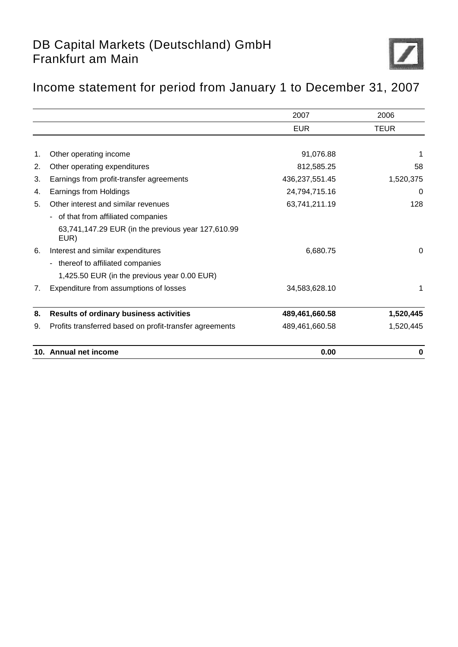## DB Capital Markets (Deutschland) GmbH Frankfurt am Main



## Income statement for period from January 1 to December 31, 2007

|    |                                                            | 2007           | 2006        |
|----|------------------------------------------------------------|----------------|-------------|
|    |                                                            | <b>EUR</b>     | <b>TEUR</b> |
|    |                                                            |                |             |
| 1. | Other operating income                                     | 91,076.88      |             |
| 2. | Other operating expenditures                               | 812,585.25     | 58          |
| 3. | Earnings from profit-transfer agreements                   | 436,237,551.45 | 1,520,375   |
| 4. | Earnings from Holdings                                     | 24,794,715.16  | 0           |
| 5. | Other interest and similar revenues                        | 63,741,211.19  | 128         |
|    | - of that from affiliated companies                        |                |             |
|    | 63,741,147.29 EUR (in the previous year 127,610.99<br>EUR) |                |             |
| 6. | Interest and similar expenditures                          | 6,680.75       | $\Omega$    |
|    | - thereof to affiliated companies                          |                |             |
|    | 1,425.50 EUR (in the previous year 0.00 EUR)               |                |             |
| 7. | Expenditure from assumptions of losses                     | 34,583,628.10  | 1           |
| 8. | <b>Results of ordinary business activities</b>             | 489,461,660.58 | 1,520,445   |
| 9. | Profits transferred based on profit-transfer agreements    | 489,461,660.58 | 1,520,445   |
|    | 10. Annual net income                                      | 0.00           | 0           |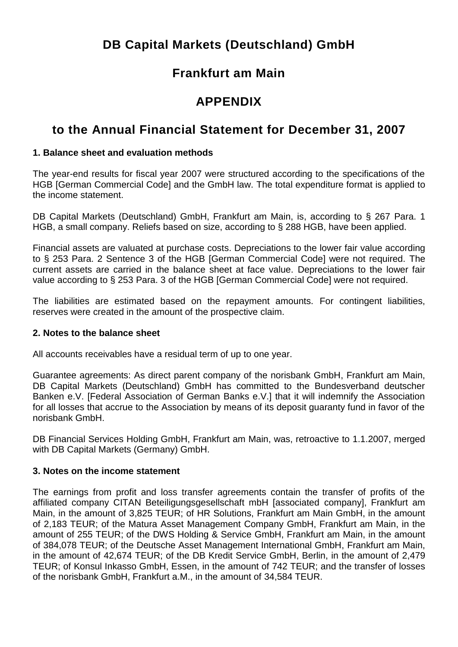## **DB Capital Markets (Deutschland) GmbH**

### **Frankfurt am Main**

### **APPENDIX**

### **to the Annual Financial Statement for December 31, 2007**

#### **1. Balance sheet and evaluation methods**

The year-end results for fiscal year 2007 were structured according to the specifications of the HGB [German Commercial Code] and the GmbH law. The total expenditure format is applied to the income statement.

DB Capital Markets (Deutschland) GmbH, Frankfurt am Main, is, according to § 267 Para. 1 HGB, a small company. Reliefs based on size, according to § 288 HGB, have been applied.

Financial assets are valuated at purchase costs. Depreciations to the lower fair value according to § 253 Para. 2 Sentence 3 of the HGB [German Commercial Code] were not required. The current assets are carried in the balance sheet at face value. Depreciations to the lower fair value according to § 253 Para. 3 of the HGB [German Commercial Code] were not required.

The liabilities are estimated based on the repayment amounts. For contingent liabilities, reserves were created in the amount of the prospective claim.

#### **2. Notes to the balance sheet**

All accounts receivables have a residual term of up to one year.

Guarantee agreements: As direct parent company of the norisbank GmbH, Frankfurt am Main, DB Capital Markets (Deutschland) GmbH has committed to the Bundesverband deutscher Banken e.V. [Federal Association of German Banks e.V.] that it will indemnify the Association for all losses that accrue to the Association by means of its deposit guaranty fund in favor of the norisbank GmbH.

DB Financial Services Holding GmbH, Frankfurt am Main, was, retroactive to 1.1.2007, merged with DB Capital Markets (Germany) GmbH.

#### **3. Notes on the income statement**

The earnings from profit and loss transfer agreements contain the transfer of profits of the affiliated company CITAN Beteiligungsgesellschaft mbH [associated company], Frankfurt am Main, in the amount of 3,825 TEUR; of HR Solutions, Frankfurt am Main GmbH, in the amount of 2,183 TEUR; of the Matura Asset Management Company GmbH, Frankfurt am Main, in the amount of 255 TEUR; of the DWS Holding & Service GmbH, Frankfurt am Main, in the amount of 384,078 TEUR; of the Deutsche Asset Management International GmbH, Frankfurt am Main, in the amount of 42,674 TEUR; of the DB Kredit Service GmbH, Berlin, in the amount of 2,479 TEUR; of Konsul Inkasso GmbH, Essen, in the amount of 742 TEUR; and the transfer of losses of the norisbank GmbH, Frankfurt a.M., in the amount of 34,584 TEUR.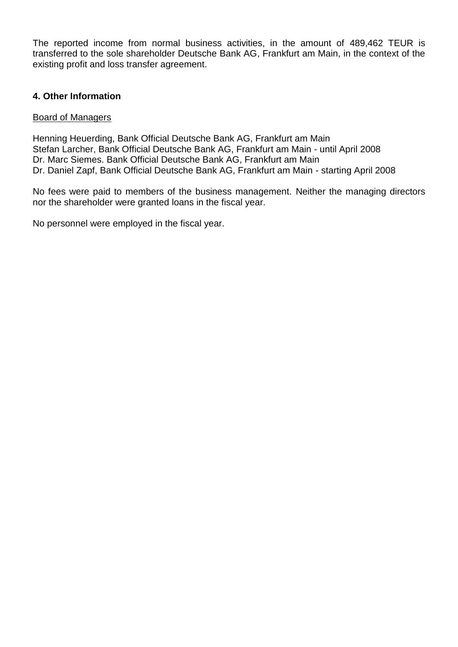The reported income from normal business activities, in the amount of 489,462 TEUR is transferred to the sole shareholder Deutsche Bank AG, Frankfurt am Main, in the context of the existing profit and loss transfer agreement.

#### **4. Other Information**

#### Board of Managers

Henning Heuerding, Bank Official Deutsche Bank AG, Frankfurt am Main Stefan Larcher, Bank Official Deutsche Bank AG, Frankfurt am Main - until April 2008 Dr. Marc Siemes. Bank Official Deutsche Bank AG, Frankfurt am Main Dr. Daniel Zapf, Bank Official Deutsche Bank AG, Frankfurt am Main - starting April 2008

No fees were paid to members of the business management. Neither the managing directors nor the shareholder were granted loans in the fiscal year.

No personnel were employed in the fiscal year.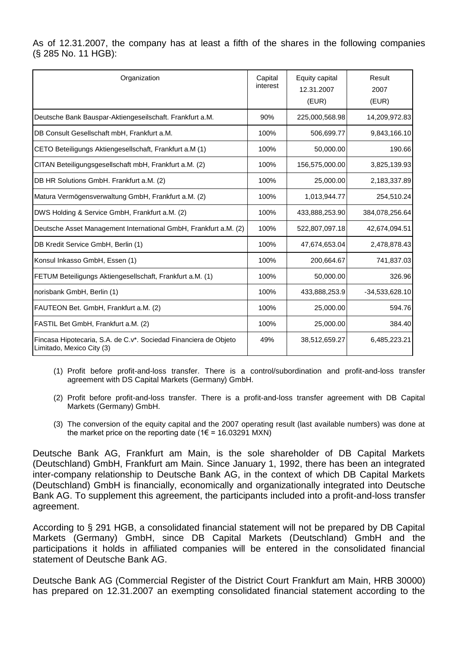As of 12.31.2007, the company has at least a fifth of the shares in the following companies (§ 285 No. 11 HGB):

| Organization                                                                                  | Capital<br>interest | Equity capital<br>12.31.2007<br>(EUR) | Result<br>2007<br>(EUR) |
|-----------------------------------------------------------------------------------------------|---------------------|---------------------------------------|-------------------------|
| Deutsche Bank Bauspar-Aktiengeseilschaft. Frankfurt a.M.                                      | 90%                 | 225,000,568.98                        | 14,209,972.83           |
| DB Consult Gesellschaft mbH, Frankfurt a.M.                                                   | 100%                | 506,699.77                            | 9,843,166.10            |
| CETO Beteiligungs Aktiengesellschaft, Frankfurt a.M (1)                                       | 100%                | 50,000.00                             | 190.66                  |
| CITAN Beteiligungsgesellschaft mbH, Frankfurt a.M. (2)                                        | 100%                | 156,575,000.00                        | 3,825,139.93            |
| DB HR Solutions GmbH. Frankfurt a.M. (2)                                                      | 100%                | 25,000.00                             | 2,183,337.89            |
| Matura Vermögensverwaltung GmbH, Frankfurt a.M. (2)                                           | 100%                | 1,013,944.77                          | 254,510.24              |
| DWS Holding & Service GmbH, Frankfurt a.M. (2)                                                | 100%                | 433,888,253.90                        | 384,078,256.64          |
| Deutsche Asset Management International GmbH, Frankfurt a.M. (2)                              | 100%                | 522,807,097.18                        | 42,674,094.51           |
| DB Kredit Service GmbH, Berlin (1)                                                            | 100%                | 47,674,653.04                         | 2,478,878.43            |
| Konsul Inkasso GmbH, Essen (1)                                                                | 100%                | 200,664.67                            | 741,837.03              |
| FETUM Beteiligungs Aktiengesellschaft, Frankfurt a.M. (1)                                     | 100%                | 50,000.00                             | 326.96                  |
| norisbank GmbH, Berlin (1)                                                                    | 100%                | 433,888,253.9                         | $-34,533,628.10$        |
| FAUTEON Bet. GmbH, Frankfurt a.M. (2)                                                         | 100%                | 25,000.00                             | 594.76                  |
| FASTIL Bet GmbH, Frankfurt a.M. (2)                                                           | 100%                | 25,000.00                             | 384.40                  |
| Fincasa Hipotecaria, S.A. de C.v*. Sociedad Financiera de Objeto<br>Limitado, Mexico City (3) | 49%                 | 38,512,659.27                         | 6,485,223.21            |

- (1) Profit before profit-and-loss transfer. There is a control/subordination and profit-and-loss transfer agreement with DS Capital Markets (Germany) GmbH.
- (2) Profit before profit-and-loss transfer. There is a profit-and-loss transfer agreement with DB Capital Markets (Germany) GmbH.
- (3) The conversion of the equity capital and the 2007 operating result (last available numbers) was done at the market price on the reporting date ( $1 \in 16.03291$  MXN)

Deutsche Bank AG, Frankfurt am Main, is the sole shareholder of DB Capital Markets (Deutschland) GmbH, Frankfurt am Main. Since January 1, 1992, there has been an integrated inter-company relationship to Deutsche Bank AG, in the context of which DB Capital Markets (Deutschland) GmbH is financially, economically and organizationally integrated into Deutsche Bank AG. To supplement this agreement, the participants included into a profit-and-loss transfer agreement.

According to § 291 HGB, a consolidated financial statement will not be prepared by DB Capital Markets (Germany) GmbH, since DB Capital Markets (Deutschland) GmbH and the participations it holds in affiliated companies will be entered in the consolidated financial statement of Deutsche Bank AG.

Deutsche Bank AG (Commercial Register of the District Court Frankfurt am Main, HRB 30000) has prepared on 12.31.2007 an exempting consolidated financial statement according to the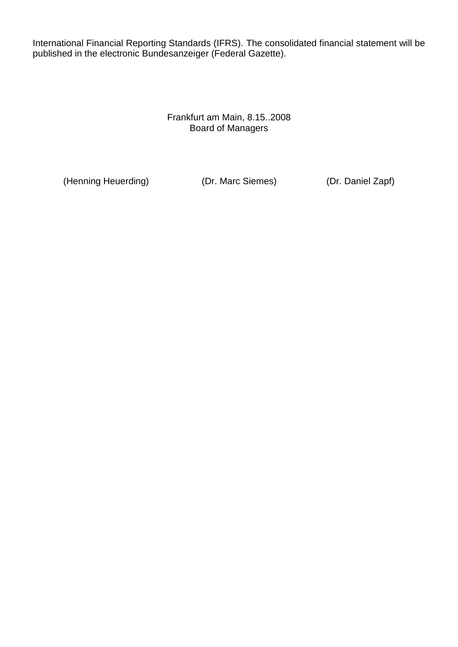International Financial Reporting Standards (IFRS). The consolidated financial statement will be published in the electronic Bundesanzeiger (Federal Gazette).

> Frankfurt am Main, 8.15..2008 Board of Managers

(Henning Heuerding) (Dr. Marc Siemes) (Dr. Daniel Zapf)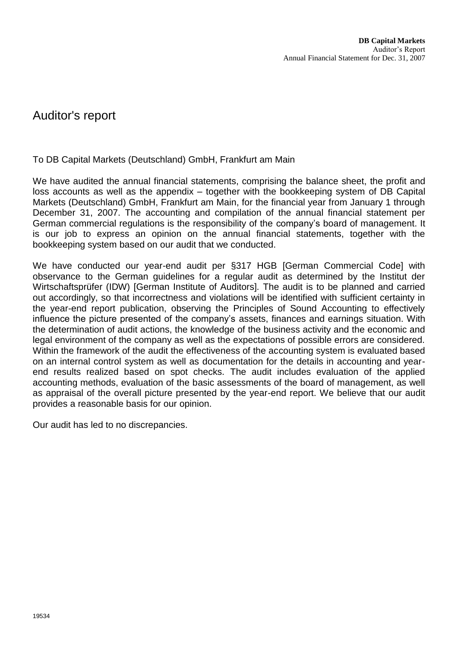#### Auditor's report

To DB Capital Markets (Deutschland) GmbH, Frankfurt am Main

We have audited the annual financial statements, comprising the balance sheet, the profit and loss accounts as well as the appendix – together with the bookkeeping system of DB Capital Markets (Deutschland) GmbH, Frankfurt am Main, for the financial year from January 1 through December 31, 2007. The accounting and compilation of the annual financial statement per German commercial regulations is the responsibility of the company's board of management. It is our job to express an opinion on the annual financial statements, together with the bookkeeping system based on our audit that we conducted.

We have conducted our year-end audit per §317 HGB [German Commercial Code] with observance to the German guidelines for a regular audit as determined by the Institut der Wirtschaftsprüfer (IDW) [German Institute of Auditors]. The audit is to be planned and carried out accordingly, so that incorrectness and violations will be identified with sufficient certainty in the year-end report publication, observing the Principles of Sound Accounting to effectively influence the picture presented of the company's assets, finances and earnings situation. With the determination of audit actions, the knowledge of the business activity and the economic and legal environment of the company as well as the expectations of possible errors are considered. Within the framework of the audit the effectiveness of the accounting system is evaluated based on an internal control system as well as documentation for the details in accounting and yearend results realized based on spot checks. The audit includes evaluation of the applied accounting methods, evaluation of the basic assessments of the board of management, as well as appraisal of the overall picture presented by the year-end report. We believe that our audit provides a reasonable basis for our opinion.

Our audit has led to no discrepancies.